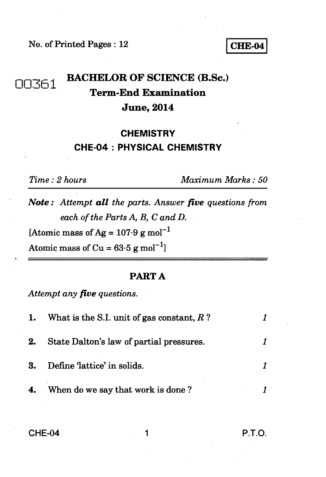No. of Printed Pages : 12 **CHE-04** 

# **nnFi-1 BACHELOR OF SCIENCE (B.Sc.) Term-End Examination June, 2014**

## **CHEMISTRY CHE-04 : PHYSICAL CHEMISTRY**

*Time : 2 hours Maximum Marks : 50* 

*Note : Attempt all the parts. Answer five questions from each of the Parts A, B, C and D.* 

[Atomic mass of Ag =  $107.9$  g mol<sup>-1</sup>

Atomic mass of Cu =  $63.5 \text{ g mol}^{-1}$ 

### **PART A**

*Attempt any five questions.* 

| 1. | What is the S.I. unit of gas constant, $R$ ? |  |
|----|----------------------------------------------|--|
| 2. | State Dalton's law of partial pressures.     |  |
| 3. | Define 'lattice' in solids.                  |  |
| 4. | When do we say that work is done?            |  |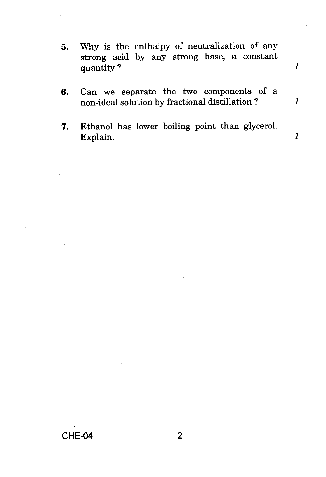- **5.** Why is the enthalpy of neutralization of any strong acid by any strong base, a constant quantity ? *1*
- 6. Can we separate the two components of a non-ideal solution by fractional distillation ?

 $\mathbf{1}$ 

 $\mathbf{1}$ 

7. Ethanol has lower boiling point than glycerol. Explain.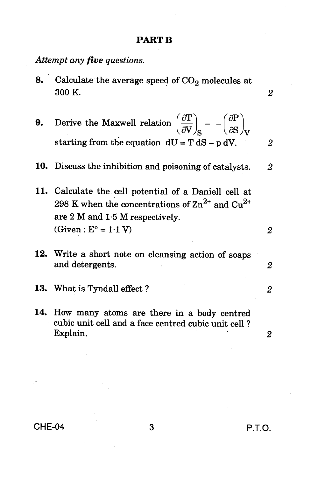#### **PART B**

*Attempt any five questions.* 

- 8. Calculate the average speed of  $CO<sub>2</sub>$  molecules at 300 K. *2*
- **9.** Derive the Maxwell relation  $\left(\frac{\partial \mathbf{T}}{\partial \mathbf{V}}\right)_{\mathbf{S}} = -\left(\frac{\partial \mathbf{P}}{\partial \mathbf{S}}\right)_{\mathbf{V}}$ starting from the equation  $dU = T dS - p dV$ . 2

10. Discuss the inhibition and poisoning of catalysts. *2* 

- 11. Calculate the cell potential of a Daniell cell at 298 K when the concentrations of  $\text{Zn}^{2+}$  and  $\text{Cu}^{2+}$ are 2 M and 1.5 M respectively.  $(Given : E<sup>o</sup> = 1.1 V)$  *2*
- 12. Write a short note on cleansing action of soaps and detergents. *2*
- 13. What is Tyndall effect ? *2*
- 14. How many atoms are there in a body centred cubic unit cell and a face centred cubic unit cell ? Explain. *2*

**CHE-04 3 P.T.O.**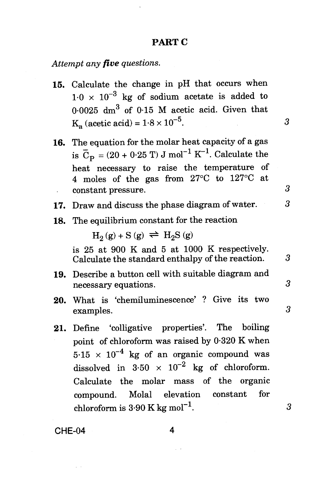### **PART C**

*Attempt any five questions.* 

- 15. Calculate the change in pH that occurs when  $1.0 \times 10^{-3}$  kg of sodium acetate is added to 0.0025  $dm^3$  of 0.15 M acetic acid. Given that  $K_a$  (acetic acid) =  $1.8 \times 10^{-5}$ . 3
- 16. The equation for the molar heat capacity of a gas is  $\bar{C}_p = (20 + 0.25 \text{ T}) \text{ J mol}^{-1} \text{ K}^{-1}$ . Calculate the heat necessary to raise the temperature of 4 moles of the gas from 27°C to 127°C at constant pressure. 3
- 17. Draw and discuss the phase diagram of water. 3
- 18. The equilibrium constant for the reaction

 $H_2(g) + S(g) \rightleftharpoons H_2S(g)$ 

is 25 at 900 K and 5 at 1000 K respectively. Calculate the standard enthalpy of the reaction. 3

- 19. Describe a button cell with suitable diagram and necessary equations. 3
- 20. What is 'chemiluminescence' ? Give its two examples. 3
- 21. Define 'colligative properties'. The boiling point of chloroform was raised by 0.320 K when  $5.15 \times 10^{-4}$  kg of an organic compound was dissolved in  $3.50 \times 10^{-2}$  kg of chloroform. Calculate the molar mass of the organic compound. Molal elevation constant for chloroform is  $3.90 \text{ K kg mol}^{-1}$ .  $3$

**CHE-04 4**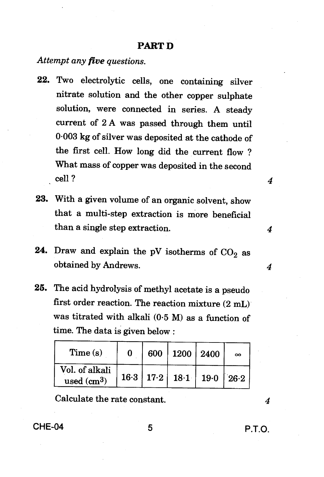### **PART D**

*Attempt any five questions.* 

- 22. Two electrolytic cells, one containing silver nitrate solution and the other copper sulphate solution, were connected in series. A steady current of 2 A was passed through them until 0.003 kg of silver was deposited at the cathode of the first cell. How long did the current flow ? What mass of copper was deposited in the second cell ?
- 23. With a given volume of an organic solvent, show that a multi-step extraction is more beneficial than a single step extraction.
- 24. Draw and explain the pV isotherms of  $CO<sub>2</sub>$  as obtained by Andrews. *4*
- 25. The acid hydrolysis of methyl acetate is a pseudo first order reaction. The reaction mixture (2 mL) was titrated with alkali (0.5 M) as a function of time. The data is given below :

| Time(s)                        |  | 600   1200   2400                | $\infty$ |
|--------------------------------|--|----------------------------------|----------|
| Vol. of alkali<br>used $(cm3)$ |  | 16.3   17.2   18.1   19.0   26.2 |          |

Calculate the rate constant. *4* 

**CHE-04 P.T.O.** 

4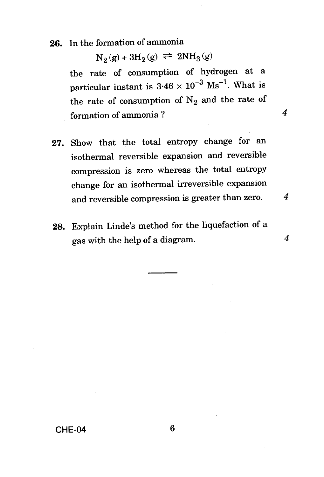### 26. In the formation of ammonia

 $N_2$  (g) + 3H<sub>2</sub> (g)  $\Rightarrow$  2NH<sub>3</sub> (g) the rate of consumption of hydrogen at a particular instant is  $3.46 \times 10^{-3}$  Ms<sup>-1</sup>. What is

the rate of consumption of  $N_2$  and the rate of formation of ammonia ? *4* 

- 27. Show that the total entropy change for an isothermal reversible expansion and reversible compression is zero whereas the total entropy change for an isothermal irreversible expansion and reversible compression is greater than zero. *4*
- 28. Explain Linde's method for the liquefaction of a gas with the help of a diagram. *4*

### **CHE-04** 6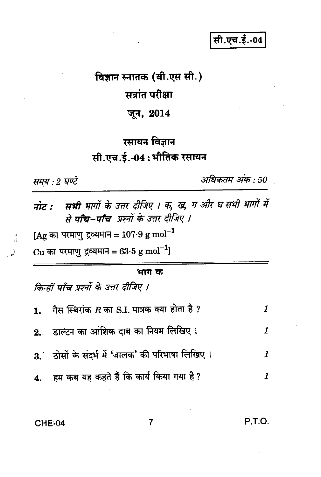सी.एच.ई.-04

# विज्ञान स्नातक (बी.एस सी.)

# सत्रांत परीक्षा

# जून, 2014

# रसायन विज्ञान सी.एच.ई.-04:भौतिक रसायन

समय : 2 घण्टे

 $\hat{b}$ 

अधिकतम अंक : 50

| नोट : सभी भागों के उत्तर दीजिए । क, ख, ग और घ सभी भागों में<br>से <b>पाँच–पाँच</b> प्रश्नों के उत्तर दीजिए । |                                                     |   |  |  |  |  |  |
|--------------------------------------------------------------------------------------------------------------|-----------------------------------------------------|---|--|--|--|--|--|
| [Ag का परमाणु द्रव्यमान = 107.9 g mol <sup>-1</sup>                                                          |                                                     |   |  |  |  |  |  |
|                                                                                                              | Cu का परमाणु द्रव्यमान = 63.5 g mol <sup>-1</sup> ] |   |  |  |  |  |  |
|                                                                                                              | भाग क                                               |   |  |  |  |  |  |
|                                                                                                              | किन्हीं <b>पाँच</b> प्रश्नों के उत्तर दीजिए ।       |   |  |  |  |  |  |
| 1.                                                                                                           | गैस स्थिरांक $R$ का S.I. मात्रक क्या होता है ?      | 1 |  |  |  |  |  |
|                                                                                                              | 2. डाल्टन का आंशिक दाब का नियम लिखिए।               | 1 |  |  |  |  |  |
|                                                                                                              | 3. ठोसों के संदर्भ में 'जालक' की परिभाषा लिखिए।     | 1 |  |  |  |  |  |
|                                                                                                              | हम कब यह कहते हैं कि कार्य किया गया है ?            |   |  |  |  |  |  |

 $\overline{7}$ 

### **CHE-04**

P.T.O.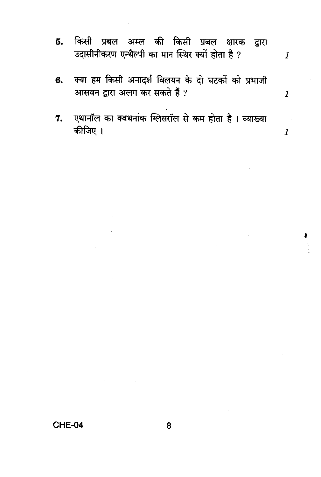किसी प्रबल अम्ल की किसी प्रबल क्षारक 5. द्वारा उदासीनीकरण एन्थैल्पी का मान स्थिर क्यों होता है ?

 $\boldsymbol{1}$ 

 $\boldsymbol{1}$ 

 $\boldsymbol{1}$ 

- क्या हम किसी अनादर्श विलयन के दो घटकों को प्रभाजी 6. आसवन द्वारा अलग कर सकते हैं ?
- एथानॉल का क्वथनांक ग्लिसरॉल से कम होता है। व्याख्या 7. कीजिए ।

CHE-04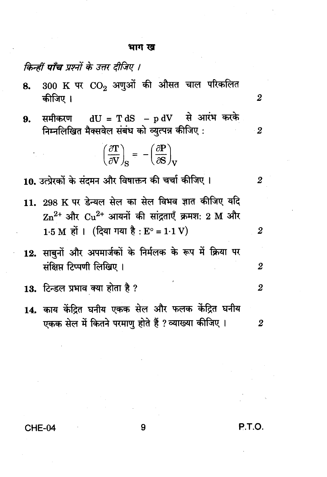#### भाग ख

### किन्हीं **पाँच** प्रश्नों के उत्तर दीजिए ।

- $300$  K पर  $CO<sub>2</sub>$  अणुओं की औसत चाल परिकलित 8. कीजिए ।
- समीकरण  $\rm dU = T\,dS$  p  $\rm dV$  से आरंभ करके 9. निम्नलिखित मैक्सवेल संबंध को व्युत्पन्न कीजिए:

$$
\left(\frac{\partial \mathbf{T}}{\partial \mathbf{V}}\right)_{\mathbf{S}} = -\left(\frac{\partial \mathbf{P}}{\partial \mathbf{S}}\right)_{\mathbf{V}}
$$

10. उत्प्रेरकों के संदमन और विषाक्तन की चर्चा कीजिए ।

- 11. 298 K पर डेन्यल सेल का सेल विभव ज्ञात कीजिए यदि  $\rm Zn^{2+}$  और  $\rm Cu^{2+}$  आयनों की सांद्रताएँ क्रमश: 2 M और  $1.5 M$  हों। (दिया गया है:  $E^{\circ} = 1.1 V$ )
- 12. साबनों और अपमार्जकों के निर्मलक के रूप में क्रिया पर संक्षिप्त टिप्पणी लिखिए ।
- 13. टिन्डल प्रभाव क्या होता है ?
- 14. काय केंद्रित घनीय एकक सेल और फलक केंद्रित घनीय एकक सेल में कितने परमाणु होते हैं ? व्याख्या कीजिए ।  $\boldsymbol{2}$

CHE-04

 $\boldsymbol{2}$ 

 $\cdot$  2

 $\boldsymbol{2}$ 

 $\boldsymbol{2}$ 

 $\overline{2}$ 

 $\boldsymbol{2}$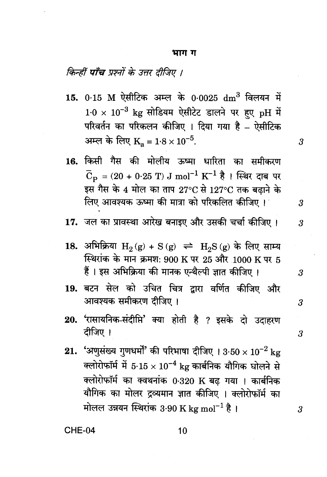#### भाग ग

# किन्हीं **पाँच** प्रश्नों के उत्तर दीजिए ।

- 15. 0.15 M ऐसीटिक अम्ल के 0.0025 dm<sup>3</sup> विलयन में  $1.0 \times 10^{-3}$  kg सोडियम ऐसीटेट डालने पर हुए pH में परिवर्तन का परिकलन कीजिए । दिया गया है – ऐसीटिक अम्ल के लिए  $K_a = 1.8 \times 10^{-5}$ .
- 16. किसी गैस की मोलीय ऊष्मा धारिता का समीकरण  $\bar{C}_\text{D} = (20 + 0.25 \text{ T}) \text{ J mol}^{-1} \text{ K}^{-1} \text{ R}$ । स्थिर दाब पर इस गैस के 4 मोल का ताप 27°C से 127°C तक बढाने के लिए आवश्यक ऊष्मा की मात्रा को परिकलित कीजिए।
- 17. जल का प्रावस्था आरेख बनाइए और उसकी चर्चा कीजिए।
- 18. अभिक्रिया  $H_2(g) + S(g) \implies H_2S(g)$  के लिए साम्य स्थिरांक के मान क्रमश: 900 K पर 25 और 1000 K पर 5 हैं । इस अभिक्रिया की मानक एन्थैल्पी ज्ञात कीजिए ।
- 19. बटन सेल को उचित चित्र द्वारा वर्णित कीजिए और आवश्यक समीकरण दीजिए ।
- 20. 'रासायनिक-संदीप्ति' क्या होती है ? इसके दो उदाहरण दीजिए ।
- 21. 'अणसंख्य गुणधर्मों' की परिभाषा दीजिए ।  $3.50 \times 10^{-2}$  kg क्लोरोफॉर्म में 5.15  $\times\,10^{-4}$  kg कार्बनिक यौगिक घोलने से क्लोरोफॉर्म का क्वथनांक 0.320 K बढ गया । कार्बनिक यौगिक का मोलर द्रव्यमान ज्ञात कीजिए । क्लोरोफॉर्म का मोलल उन्नयन स्थिरांक 3.90 K kg mol<sup>-1</sup> है।

CHE-04

3

3

3

3

3

 $\boldsymbol{\beta}$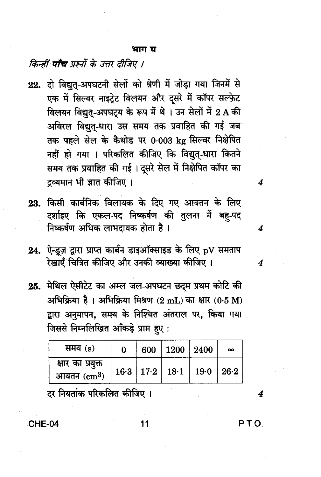#### भाग घ

### किन्हीं **पाँच** प्रश्नों के उत्तर दीजिए ।

- 22. दो विद्युत-अपघटनी सेलों को श्रेणी में जोड़ा गया जिनमें से एक में सिल्वर नाइट्रेट विलयन और दसरे में कॉपर सल्फ़ेट विलयन विद्युत-अपघटय के रूप में थे। उन सेलों में 2 A की अविरल विद्यत-धारा उस समय तक प्रवाहित की गई जब तक पहले सेल के कैथोड पर 0.003 kg सिल्वर निक्षेपित नहीं हो गया । परिकलित कीजिए कि विद्युत्-धारा कितने समय तक प्रवाहित की गई। दूसरे सेल में निक्षेपित कॉपर का द्रव्यमान भी ज्ञात कीजिए ।
- 23. किसी कार्बनिक विलायक के दिए गए आयतन के लिए दर्शाइए कि एकल-पद निष्कर्षण की तुलना में बह-पद निष्कर्षण अधिक लाभदायक होता है।
- 24. ऐन्ड्रज़ द्वारा प्राप्त कार्बन डाइऑक्साइड के लिए pV समताप रेखाएँ चित्रित कीजिए और उनकी व्याख्या कीजिए ।
- 25. मेथिल ऐसीटेट का अम्ल जल-अपघटन छदम प्रथम कोटि की अभिक्रिया है। अभिक्रिया मिश्रण (2 mL) का क्षार (0.5 M) द्वारा अनुमापन, समय के निश्चित अंतराल पर, किया गया जिससे निम्नलिखित आँकड़े प्राप्त हुए:

| समय (s)                                  | 0 | 600   1200   2400                | $\infty$ |
|------------------------------------------|---|----------------------------------|----------|
| क्षार का प्रयुक्त<br>आयतन $\rm \ (cm^3)$ |   | 16.3   17.2   18.1   19.0   26.2 |          |

दर नियतांक परिकलित कीजिए ।

CHE-04

P.T.O.

4

11

4

4